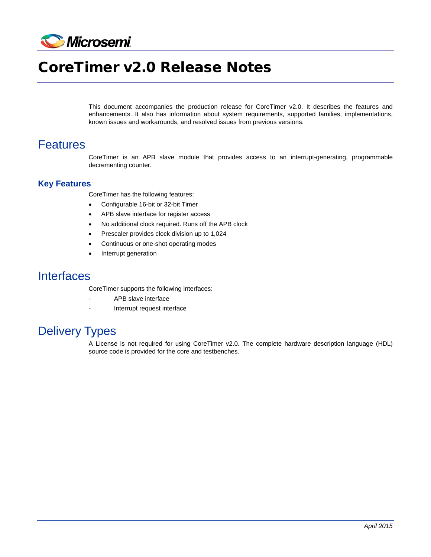

# CoreTimer v2.0 Release Notes

This document accompanies the production release for CoreTimer v2.0. It describes the features and enhancements. It also has information about system requirements, supported families, implementations, known issues and workarounds, and resolved issues from previous versions.

#### Features

CoreTimer is an APB slave module that provides access to an interrupt-generating, programmable decrementing counter.

#### **Key Features**

CoreTimer has the following features:

- Configurable 16-bit or 32-bit Timer
- APB slave interface for register access
- No additional clock required. Runs off the APB clock
- Prescaler provides clock division up to 1,024
- Continuous or one-shot operating modes
- Interrupt generation

#### **Interfaces**

CoreTimer supports the following interfaces:

- APB slave interface
- Interrupt request interface

## Delivery Types

A License is not required for using CoreTimer v2.0. The complete hardware description language (HDL) source code is provided for the core and testbenches.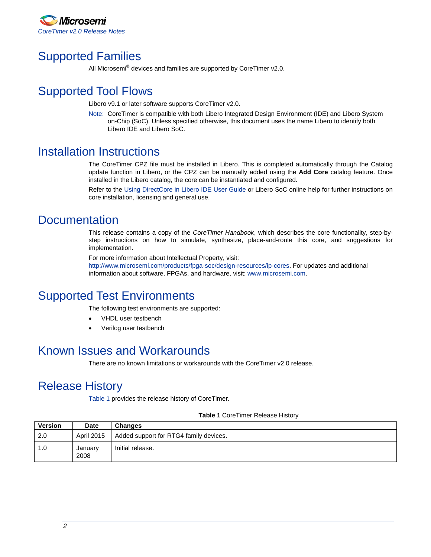

## Supported Families

All Microsemi<sup>®</sup> devices and families are supported by CoreTimer v2.0.

## Supported Tool Flows

Libero v9.1 or later software supports CoreTimer v2.0.

Note: CoreTimer is compatible with both Libero Integrated Design Environment (IDE) and Libero System on-Chip (SoC). Unless specified otherwise, this document uses the name Libero to identify both Libero IDE and Libero SoC.

#### Installation Instructions

The CoreTimer CPZ file must be installed in Libero. This is completed automatically through the Catalog update function in Libero, or the CPZ can be manually added using the **Add Core** catalog feature. Once installed in the Libero catalog, the core can be instantiated and configured.

Refer to the [Using DirectCore in Libero IDE User Guide](http://www.microsemi.com/document-portal/doc_download/131531-using-directcore-in-libero-ide-v8-4) or Libero SoC online help for further instructions on core installation, licensing and general use.

### **Documentation**

This release contains a copy of the *CoreTimer Handbook*, which describes the core functionality, step-bystep instructions on how to simulate, synthesize, place-and-route this core, and suggestions for implementation.

For more information about Intellectual Property, visit:

[http://www.microsemi.com/products/fpga-soc/design-resources/ip-cores.](http://www.microsemi.com/products/fpga-soc/design-resources/ip-cores) For updates and additional information about software, FPGAs, and hardware, visit[: www.microsemi.com.](http://www.microsemi.com/)

### Supported Test Environments

The following test environments are supported:

- VHDL user testbench
- Verilog user testbench

#### Known Issues and Workarounds

There are no known limitations or workarounds with the CoreTimer v2.0 release.

### Release History

[Table 1](#page-1-0) provides the release history of CoreTimer.

#### **Table 1** CoreTimer Release History

<span id="page-1-0"></span>

| <b>Version</b> | <b>Date</b>     | <b>Changes</b>                         |
|----------------|-----------------|----------------------------------------|
| 2.0            | April 2015      | Added support for RTG4 family devices. |
| 1.0            | January<br>2008 | Initial release.                       |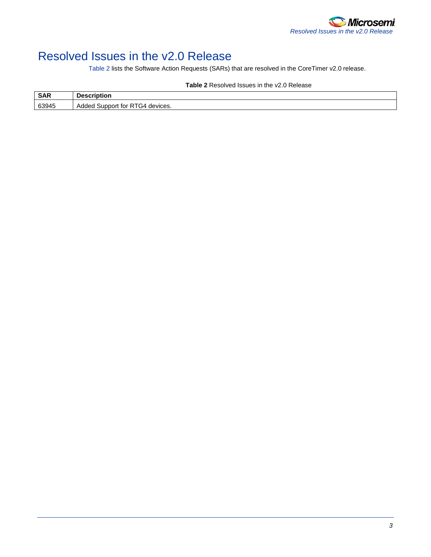

## Resolved Issues in the v2.0 Release

[Table 2](#page-2-0) lists the Software Action Requests (SARs) that are resolved in the CoreTimer v2.0 release.

<span id="page-2-0"></span>

|       | Table 2 Resulved issues III the VZ.U Release |  |  |
|-------|----------------------------------------------|--|--|
| SAR   | <b>Description</b>                           |  |  |
| 63945 | Added Support for RTG4 devices.              |  |  |